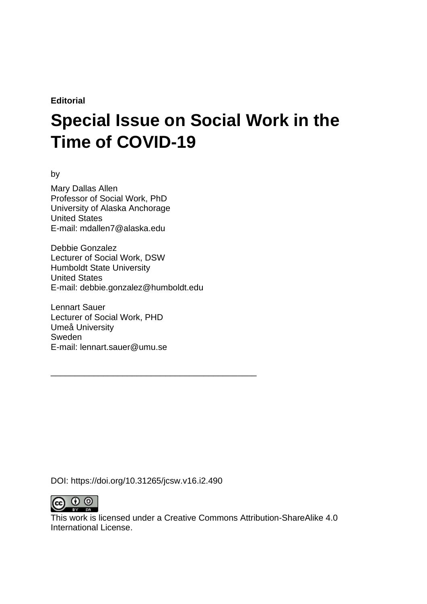**Editorial**

# **Special Issue on Social Work in the Time of COVID-19**

by

Mary Dallas Allen Professor of Social Work, PhD University of Alaska Anchorage United States E-mail: mdallen7@alaska.edu

Debbie Gonzalez Lecturer of Social Work, DSW Humboldt State University United States E-mail: debbie.gonzalez@humboldt.edu

Lennart Sauer Lecturer of Social Work, PHD Umeå University Sweden E-mail: lennart.sauer@umu.se

DOI: https://doi.org/10.31265/jcsw.v16.i2.490

\_\_\_\_\_\_\_\_\_\_\_\_\_\_\_\_\_\_\_\_\_\_\_\_\_\_\_\_\_\_\_\_\_\_\_\_\_\_\_\_\_\_\_



This work is licensed under a Creative Commons Attribution-ShareAlike 4.0 International License.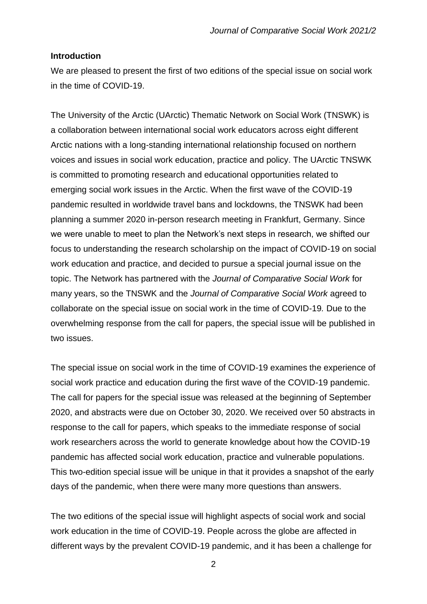#### **Introduction**

We are pleased to present the first of two editions of the special issue on social work in the time of COVID-19.

The University of the Arctic (UArctic) Thematic Network on Social Work (TNSWK) is a collaboration between international social work educators across eight different Arctic nations with a long-standing international relationship focused on northern voices and issues in social work education, practice and policy. The UArctic TNSWK is committed to promoting research and educational opportunities related to emerging social work issues in the Arctic. When the first wave of the COVID-19 pandemic resulted in worldwide travel bans and lockdowns, the TNSWK had been planning a summer 2020 in-person research meeting in Frankfurt, Germany. Since we were unable to meet to plan the Network's next steps in research, we shifted our focus to understanding the research scholarship on the impact of COVID-19 on social work education and practice, and decided to pursue a special journal issue on the topic. The Network has partnered with the *Journal of Comparative Social Work* for many years, so the TNSWK and the *Journal of Comparative Social Work* agreed to collaborate on the special issue on social work in the time of COVID-19*.* Due to the overwhelming response from the call for papers, the special issue will be published in two issues.

The special issue on social work in the time of COVID-19 examines the experience of social work practice and education during the first wave of the COVID-19 pandemic. The call for papers for the special issue was released at the beginning of September 2020, and abstracts were due on October 30, 2020. We received over 50 abstracts in response to the call for papers, which speaks to the immediate response of social work researchers across the world to generate knowledge about how the COVID-19 pandemic has affected social work education, practice and vulnerable populations. This two-edition special issue will be unique in that it provides a snapshot of the early days of the pandemic, when there were many more questions than answers.

The two editions of the special issue will highlight aspects of social work and social work education in the time of COVID-19. People across the globe are affected in different ways by the prevalent COVID-19 pandemic, and it has been a challenge for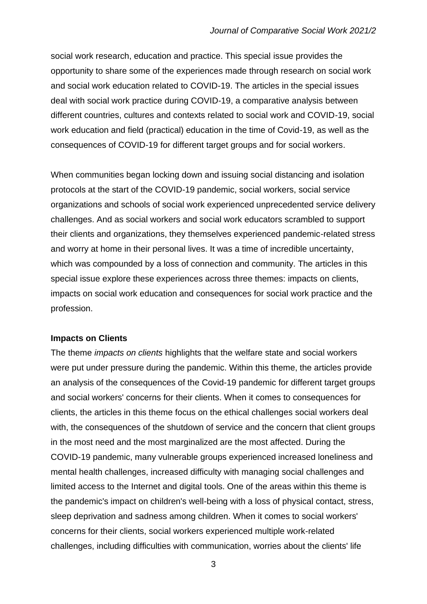social work research, education and practice. This special issue provides the opportunity to share some of the experiences made through research on social work and social work education related to COVID-19. The articles in the special issues deal with social work practice during COVID-19, a comparative analysis between different countries, cultures and contexts related to social work and COVID-19, social work education and field (practical) education in the time of Covid-19, as well as the consequences of COVID-19 for different target groups and for social workers.

When communities began locking down and issuing social distancing and isolation protocols at the start of the COVID-19 pandemic, social workers, social service organizations and schools of social work experienced unprecedented service delivery challenges. And as social workers and social work educators scrambled to support their clients and organizations, they themselves experienced pandemic-related stress and worry at home in their personal lives. It was a time of incredible uncertainty, which was compounded by a loss of connection and community. The articles in this special issue explore these experiences across three themes: impacts on clients, impacts on social work education and consequences for social work practice and the profession.

# **Impacts on Clients**

The theme *impacts on clients* highlights that the welfare state and social workers were put under pressure during the pandemic. Within this theme, the articles provide an analysis of the consequences of the Covid-19 pandemic for different target groups and social workers' concerns for their clients. When it comes to consequences for clients, the articles in this theme focus on the ethical challenges social workers deal with, the consequences of the shutdown of service and the concern that client groups in the most need and the most marginalized are the most affected. During the COVID-19 pandemic, many vulnerable groups experienced increased loneliness and mental health challenges, increased difficulty with managing social challenges and limited access to the Internet and digital tools. One of the areas within this theme is the pandemic's impact on children's well-being with a loss of physical contact, stress, sleep deprivation and sadness among children. When it comes to social workers' concerns for their clients, social workers experienced multiple work-related challenges, including difficulties with communication, worries about the clients' life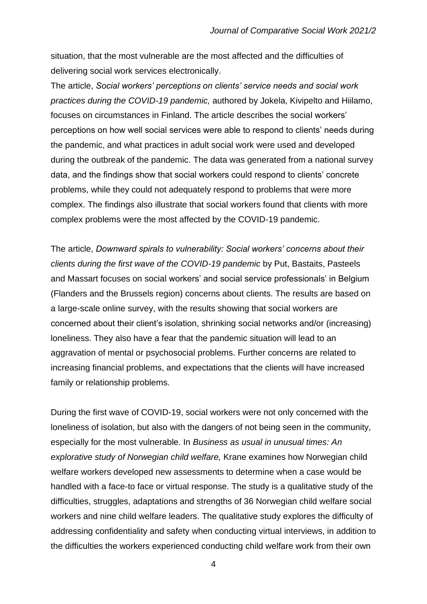situation, that the most vulnerable are the most affected and the difficulties of delivering social work services electronically.

The article, *Social workers' perceptions on clients' service needs and social work practices during the COVID-19 pandemic,* authored by Jokela, Kivipelto and Hiilamo, focuses on circumstances in Finland. The article describes the social workers' perceptions on how well social services were able to respond to clients' needs during the pandemic, and what practices in adult social work were used and developed during the outbreak of the pandemic. The data was generated from a national survey data, and the findings show that social workers could respond to clients' concrete problems, while they could not adequately respond to problems that were more complex. The findings also illustrate that social workers found that clients with more complex problems were the most affected by the COVID-19 pandemic.

The article, *Downward spirals to vulnerability: Social workers' concerns about their clients during the first wave of the COVID-19 pandemic* by Put, Bastaits, Pasteels and Massart focuses on social workers' and social service professionals' in Belgium (Flanders and the Brussels region) concerns about clients. The results are based on a large-scale online survey, with the results showing that social workers are concerned about their client's isolation, shrinking social networks and/or (increasing) loneliness. They also have a fear that the pandemic situation will lead to an aggravation of mental or psychosocial problems. Further concerns are related to increasing financial problems, and expectations that the clients will have increased family or relationship problems.

During the first wave of COVID-19, social workers were not only concerned with the loneliness of isolation, but also with the dangers of not being seen in the community, especially for the most vulnerable. In *Business as usual in unusual times: An explorative study of Norwegian child welfare,* Krane examines how Norwegian child welfare workers developed new assessments to determine when a case would be handled with a face-to face or virtual response. The study is a qualitative study of the difficulties, struggles, adaptations and strengths of 36 Norwegian child welfare social workers and nine child welfare leaders. The qualitative study explores the difficulty of addressing confidentiality and safety when conducting virtual interviews, in addition to the difficulties the workers experienced conducting child welfare work from their own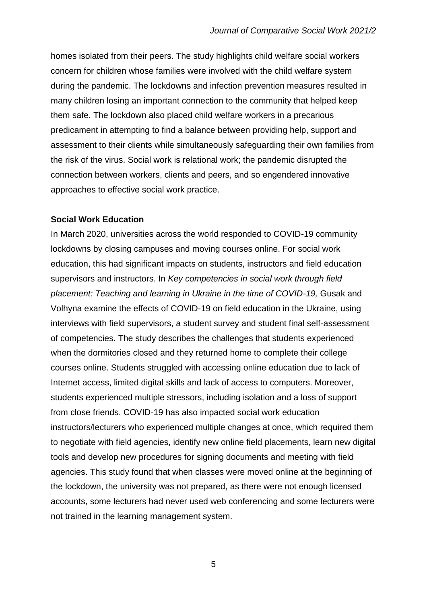homes isolated from their peers. The study highlights child welfare social workers concern for children whose families were involved with the child welfare system during the pandemic. The lockdowns and infection prevention measures resulted in many children losing an important connection to the community that helped keep them safe. The lockdown also placed child welfare workers in a precarious predicament in attempting to find a balance between providing help, support and assessment to their clients while simultaneously safeguarding their own families from the risk of the virus. Social work is relational work; the pandemic disrupted the connection between workers, clients and peers, and so engendered innovative approaches to effective social work practice.

### **Social Work Education**

In March 2020, universities across the world responded to COVID-19 community lockdowns by closing campuses and moving courses online. For social work education, this had significant impacts on students, instructors and field education supervisors and instructors. In *Key competencies in social work through field*  placement: Teaching and learning in Ukraine in the time of COVID-19, Gusak and Volhyna examine the effects of COVID-19 on field education in the Ukraine, using interviews with field supervisors, a student survey and student final self-assessment of competencies. The study describes the challenges that students experienced when the dormitories closed and they returned home to complete their college courses online. Students struggled with accessing online education due to lack of Internet access, limited digital skills and lack of access to computers. Moreover, students experienced multiple stressors, including isolation and a loss of support from close friends. COVID-19 has also impacted social work education instructors/lecturers who experienced multiple changes at once, which required them to negotiate with field agencies, identify new online field placements, learn new digital tools and develop new procedures for signing documents and meeting with field agencies. This study found that when classes were moved online at the beginning of the lockdown, the university was not prepared, as there were not enough licensed accounts, some lecturers had never used web conferencing and some lecturers were not trained in the learning management system.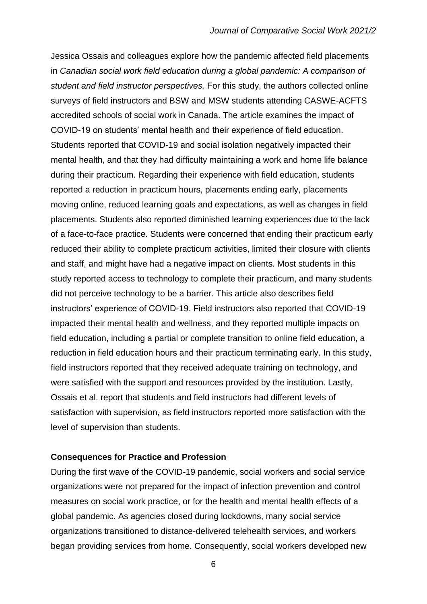Jessica Ossais and colleagues explore how the pandemic affected field placements in *Canadian social work field education during a global pandemic: A comparison of student and field instructor perspectives.* For this study, the authors collected online surveys of field instructors and BSW and MSW students attending CASWE-ACFTS accredited schools of social work in Canada. The article examines the impact of COVID-19 on students' mental health and their experience of field education. Students reported that COVID-19 and social isolation negatively impacted their mental health, and that they had difficulty maintaining a work and home life balance during their practicum. Regarding their experience with field education, students reported a reduction in practicum hours, placements ending early, placements moving online, reduced learning goals and expectations, as well as changes in field placements. Students also reported diminished learning experiences due to the lack of a face-to-face practice. Students were concerned that ending their practicum early reduced their ability to complete practicum activities, limited their closure with clients and staff, and might have had a negative impact on clients. Most students in this study reported access to technology to complete their practicum, and many students did not perceive technology to be a barrier. This article also describes field instructors' experience of COVID-19. Field instructors also reported that COVID-19 impacted their mental health and wellness, and they reported multiple impacts on field education, including a partial or complete transition to online field education, a reduction in field education hours and their practicum terminating early. In this study, field instructors reported that they received adequate training on technology, and were satisfied with the support and resources provided by the institution. Lastly, Ossais et al. report that students and field instructors had different levels of satisfaction with supervision, as field instructors reported more satisfaction with the level of supervision than students.

#### **Consequences for Practice and Profession**

During the first wave of the COVID-19 pandemic, social workers and social service organizations were not prepared for the impact of infection prevention and control measures on social work practice, or for the health and mental health effects of a global pandemic. As agencies closed during lockdowns, many social service organizations transitioned to distance-delivered telehealth services, and workers began providing services from home. Consequently, social workers developed new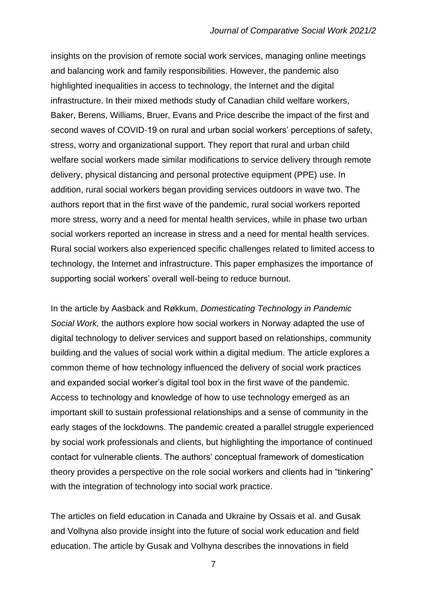insights on the provision of remote social work services, managing online meetings and balancing work and family responsibilities. However, the pandemic also highlighted inequalities in access to technology, the Internet and the digital infrastructure. In their mixed methods study of Canadian child welfare workers, Baker, Berens, Williams, Bruer, Evans and Price describe the impact of the first and second waves of COVID-19 on rural and urban social workers' perceptions of safety, stress, worry and organizational support. They report that rural and urban child welfare social workers made similar modifications to service delivery through remote delivery, physical distancing and personal protective equipment (PPE) use. In addition, rural social workers began providing services outdoors in wave two. The authors report that in the first wave of the pandemic, rural social workers reported more stress, worry and a need for mental health services, while in phase two urban social workers reported an increase in stress and a need for mental health services. Rural social workers also experienced specific challenges related to limited access to technology, the Internet and infrastructure. This paper emphasizes the importance of supporting social workers' overall well-being to reduce burnout.

In the article by Aasback and Røkkum, *Domesticating Technology in Pandemic Social Work,* the authors explore how social workers in Norway adapted the use of digital technology to deliver services and support based on relationships, community building and the values of social work within a digital medium. The article explores a common theme of how technology influenced the delivery of social work practices and expanded social worker's digital tool box in the first wave of the pandemic. Access to technology and knowledge of how to use technology emerged as an important skill to sustain professional relationships and a sense of community in the early stages of the lockdowns. The pandemic created a parallel struggle experienced by social work professionals and clients, but highlighting the importance of continued contact for vulnerable clients. The authors' conceptual framework of domestication theory provides a perspective on the role social workers and clients had in "tinkering" with the integration of technology into social work practice.

The articles on field education in Canada and Ukraine by Ossais et al. and Gusak and Volhyna also provide insight into the future of social work education and field education. The article by Gusak and Volhyna describes the innovations in field